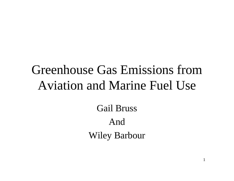# Greenhouse Gas Emissions fromAviation and Marine Fuel Use

Gail Bruss AndWiley Barbour

1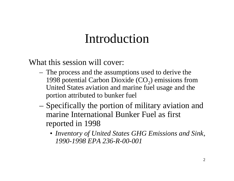## Introduction

What this session will cover:

- The process and the assumptions used to derive the 1998 potential Carbon Dioxide  $(CO<sub>2</sub>)$  emissions from United States aviation and marine fuel usage and the portion attributed to bunker fuel
- – Specifically the portion of military aviation and marine International Bunker Fuel as firstreported in 1998
	- *Inventory of United States GHG Emissions and Sink, 1990-1998 EPA 236-R-00-001*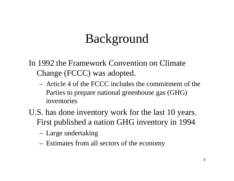## Background

In 1992 the Framework Convention on Climate Change (FCCC) was adopted.

- Article 4 of the FCCC includes the commitment of theParties to prepare national greenhouse gas (GHG) inventories
- U.S. has done inventory work for the last 10 years. First published a nation GHG inventory in 1994
	- Large undertaking
	- Estimates from all sectors of the economy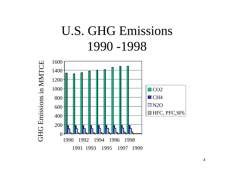# U.S. GHG Emissions 1990 -1998



4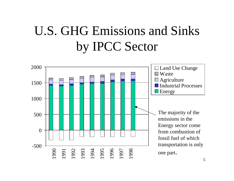# U.S. GHG Emissions and Sinks by IPCC Sector

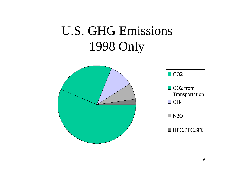# U.S. GHG Emissions 1998 Only

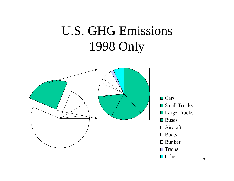# U.S. GHG Emissions 1998 Only

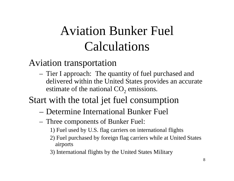# Aviation Bunker Fuel Calculations

## Aviation transportation

- Tier I approach: The quantity of fuel purchased and delivered within the United States provides an accurate estimate of the national  $\mathrm{CO}_2$  emissions.
- Start with the total jet fuel consumption
	- Determine International Bunker Fuel
	- Three components of Bunker Fuel:
		- 1) Fuel used by U.S. flag carriers on international flights
		- 2) Fuel purchased by foreign flag carriers while at United States airports
		- 3) International flights by the United States Military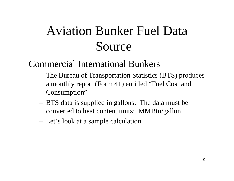# Aviation Bunker Fuel Data Source

### Commercial International Bunkers

- The Bureau of Transportation Statistics (BTS) produces a monthly report (Form 41) entitled "Fuel Cost and Consumption"
- BTS data is supplied in gallons. The data must be converted to heat content units: MMBtu/gallon.
- Let's look at a sample calculation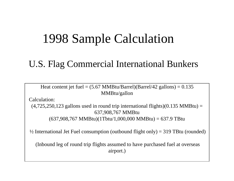## 1998 Sample Calculation

### U.S. Flag Commercial International Bunkers

Heat content jet fuel  $= (5.67 \text{ MMBtu/Barrel})(\text{Barrel}/42 \text{ gallons}) = 0.135$ MMBtu/gallon

Calculation:

 $(4,725,250,123$  gallons used in round trip international flights) $(0.135 \text{ MMBtu})$  = 637,908,767 MMBtu  $(637,908,767 \text{ MMBtu})(1 \text{Tbtu}/1,000,000 \text{ MMBtu}) = 637.9 \text{ TBtu}$ 

 $\frac{1}{2}$  International Jet Fuel consumption (outbound flight only) = 319 TBtu (rounded)

 (Inbound leg of round trip flights assumed to have purchased fuel at overseas airport.)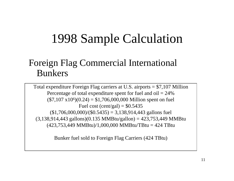# 1998 Sample Calculation

### Foreign Flag Commercial International Bunkers

Total expenditure Foreign Flag carriers at U.S. airports = \$7,107 Million Percentage of total expenditure spent for fuel and  $\text{oil} = 24\%$  $($7,107 \times 10^{6})(0.24) = $1,706,000,000$  Million spent on fuel Fuel cost (cent/gal) =  $$0.5435$  $(1,706,000,000)/(0.5435) = 3,138,914,443$  gallons fuel  $(3,138,914,443 \text{ gallons})(0.135 \text{ MMBtu/gallon}) = 423,753,449 \text{ MMBtu}$  $(423,753,449 \text{ MMBtu})/1,000,000 \text{ MMBtu}$ TBtu = 424 TBtu

Bunker fuel sold to Foreign Flag Carriers (424 TBtu)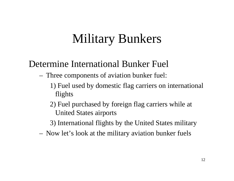# Military Bunkers

## Determine International Bunker Fuel

- Three components of aviation bunker fuel:
	- 1) Fuel used by domestic flag carriers on international flights
	- 2) Fuel purchased by foreign flag carriers while at United States airports
	- 3) International flights by the United States military
- Now let's look at the military aviation bunker fuels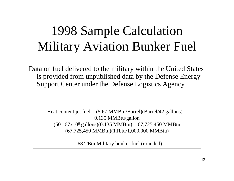# 1998 Sample Calculation Military Aviation Bunker Fuel

Data on fuel delivered to the military within the United States is provided from unpublished data by the Defense Energy Support Center under the Defense Logistics Agency

> Heat content jet fuel  $= (5.67 \text{ MMBtu/Barrel})(\text{Barrel}/42 \text{ gallons}) =$ 0.135 MMBtu/gallon (501.67x10 6 gallons)(0.135 MMBtu) = 67,725,450 MMBtu (67,725,450 MMBtu)(1Tbtu/1,000,000 MMBtu)

> > = 68 TBtu Military bunker fuel (rounded)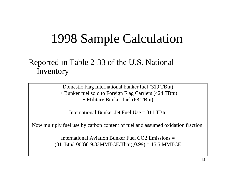## 1998 Sample Calculation

### Reported in Table 2-33 of the U.S. National Inventory

Domestic Flag International bunker fuel (319 TBtu) + Bunker fuel sold to Foreign Flag Carriers (424 TBtu) + Military Bunker fuel (68 TBtu)

International Bunker Jet Fuel Use  $= 811$  TBtu

Now multiply fuel use by carbon content of fuel and assumed oxidation fraction:

International Aviation Bunker Fuel CO2 Emissions = $(811Btu/1000)(19.33MMTCE/Tbtu)(0.99) = 15.5 MMTCE$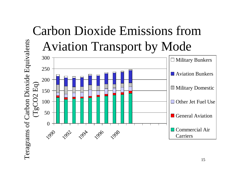#### Carbon Dioxide Emissions fromTeragrams of Carbon Dioxide Equivalents Teragrams of Carbon Dioxide Equivalents Aviation Transport by Mode 300  $\Box$  Military Bunkers 250 **N** Aviation Bunkers 200  $(\rm{TgCO2~Eq})$ TgCO2 Eq) Military Domestic 150□ Other Jet Fuel Use 100 50 General Aviation  $\theta$ Commercial Air1990 1992 1996 1998 Carriers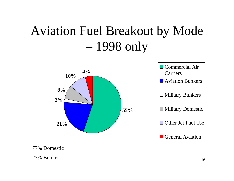# Aviation Fuel Breakout by Mode – 1998 only



77% Domestic

23% Bunker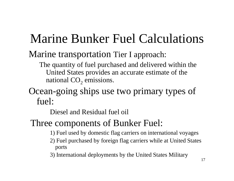# Marine Bunker Fuel Calculations

### Marine transportation Tier I approach:

The quantity of fuel purchased and delivered within the United States provides an accurate estimate of the national CO<sub>2</sub> emissions.

### Ocean-going ships use two primary types of fuel:

Diesel and Residual fuel oil

## Three components of Bunker Fuel:

- 1) Fuel used by domestic flag carriers on international voyages
- 2) Fuel purchased by foreign flag carriers while at United States ports
- 3) International deployments by the United States Military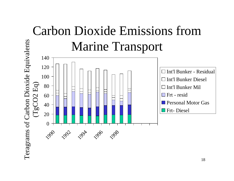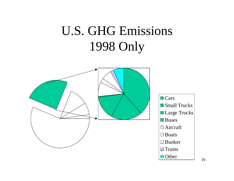# U.S. GHG Emissions 1998 Only

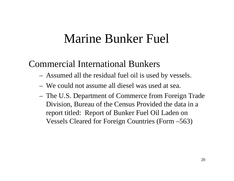## Marine Bunker Fuel

## Commercial International Bunkers

- Assumed all the residual fuel oil is used by vessels.
- We could not assume all diesel was used at sea.
- The U.S. Department of Commerce from Foreign Trade Division, Bureau of the Census Provided the data in a report titled: Report of Bunker Fuel Oil Laden on Vessels Cleared for Foreign Countries (Form –563)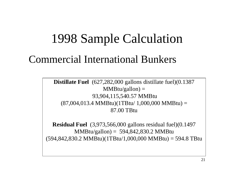## 1998 Sample Calculation

## Commercial International Bunkers

**Distillate Fuel** (627,282,000 gallons distillate fuel)(0.1387  $MMBtu/gallon) =$  93,904,115,540.57 MMBtu  $(87,004,013.4 \text{ MMBtu})(1 \text{THu}/ 1,000,000 \text{ MMBtu}) =$ 87.00 TBtu

**Residual Fuel** (3,973,566,000 gallons residual fuel)(0.1497 MMBtu/gallon) = 594,842,830.2 MMBtu  $(594,842,830.2 \text{ MMBtu})(1 \text{TBtu}/1,000,000 \text{ MMBtu}) = 594.8 \text{ TBtu}$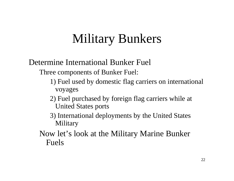# Military Bunkers

### Determine International Bunker Fuel

Three components of Bunker Fuel:

- 1) Fuel used by domestic flag carriers on international voyages
- 2) Fuel purchased by foreign flag carriers while at United States ports
- 3) International deployments by the United States **Military**
- Now let's look at the Military Marine Bunker Fuels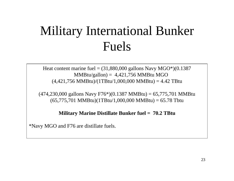# Military International Bunker Fuels

Heat content marine fuel  $= (31,880,000 \text{ gallons Navy MGO*})$  $(0.1387)$  $MMBtu/gallon = 4,421,756 MMBtu MGO$  $(4,421,756 \text{ MMBtu})/(1 \text{TBtu}/1,000,000 \text{ MMBtu}) = 4.42 \text{ TBtu}$ 

 $(474,230,000 \text{ gallons Navy F76*})(0.1387 \text{ MMBtu}) = 65,775,701 \text{ MMBtu}$  $(65,775,701 \text{ MMBtu})(1 \text{TBtu}/1,000,000 \text{ MMBtu}) = 65.78 \text{ Tbtu}$ 

**Military Marine Distillate Bunker fuel = 70.2 TBtu**

\*Navy MGO and F76 are distillate fuels.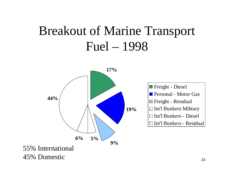# Breakout of Marine Transport Fuel – 1998

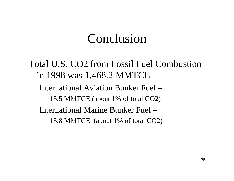## Conclusion

Total U.S. CO2 from Fossil Fuel Combustionin 1998 was 1,468.2 MMTCE International Aviation Bunker Fuel =15.5 MMTCE (about 1% of total CO2) International Marine Bunker Fuel =15.8 MMTCE (about 1% of total CO2)